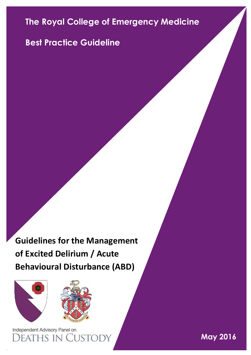# **The Royal College of Emergency Medicine**

## **Best Practice Guideline**

**Guidelines for the Management of Excited Delirium / Acute Behavioural Disturbance (ABD)**





Independent Advisory Panel on )eaths in Cust

**May 2016**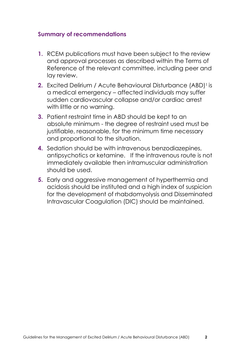#### **Summary of recommendations**

- **1.** RCEM publications must have been subject to the review and approval processes as described within the Terms of Reference of the relevant committee, including peer and lay review.
- **2.** Excited Delirium / Acute Behavioural Disturbance (ABD)<sup>1</sup> is a medical emergency – affected individuals may suffer sudden cardiovascular collapse and/or cardiac arrest with little or no warning.
- **3.** Patient restraint time in ABD should be kept to an absolute minimum - the degree of restraint used must be justifiable, reasonable, for the minimum time necessary and proportional to the situation.
- **4.** Sedation should be with intravenous benzodiazepines, antipsychotics or ketamine. If the intravenous route is not immediately available then intramuscular administration should be used.
- **5.** Early and aggressive management of hyperthermia and acidosis should be instituted and a high index of suspicion for the development of rhabdomyolysis and Disseminated Intravascular Coagulation (DIC) should be maintained.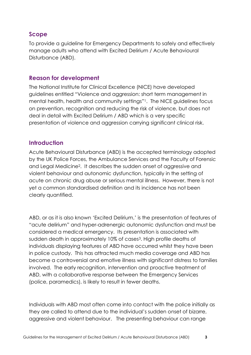## **Scope**

To provide a guideline for Emergency Departments to safely and effectively manage adults who attend with Excited Delirium / Acute Behavioural Disturbance (ABD).

## **Reason for development**

The National Institute for Clinical Excellence (NICE) have developed guidelines entitled "Violence and aggression: short term management in mental health, health and community settings"1. The NICE guidelines focus on prevention, recognition and reducing the risk of violence, but does not deal in detail with Excited Delirium / ABD which is a very specific presentation of violence and aggression carrying significant clinical risk.

#### **Introduction**

Acute Behavioural Disturbance (ABD) is the accepted terminology adopted by the UK Police Forces, the Ambulance Services and the Faculty of Forensic and Legal Medicine2. It describes the sudden onset of aggressive and violent behaviour and autonomic dysfunction, typically in the setting of acute on chronic drug abuse or serious mental illness. However, there is not yet a common standardised definition and its incidence has not been clearly quantified.

ABD, or as it is also known 'Excited Delirium,' is the presentation of features of "acute delirium" and hyper-adrenergic autonomic dysfunction and must be considered a medical emergency. Its presentation is associated with sudden death in approximately 10% of cases<sup>3</sup>. High profile deaths of individuals displaying features of ABD have occurred whilst they have been in police custody. This has attracted much media coverage and ABD has become a controversial and emotive illness with significant distress to families involved. The early recognition, intervention and proactive treatment of ABD, with a collaborative response between the Emergency Services (police, paramedics), is likely to result in fewer deaths.

Individuals with ABD most often come into contact with the police initially as they are called to attend due to the individual's sudden onset of bizarre, aggressive and violent behaviour. The presenting behaviour can range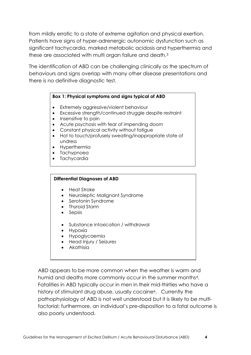from mildly erratic to a state of extreme agitation and physical exertion. Patients have signs of hyper-adrenergic autonomic dysfunction such as significant tachycardia, marked metabolic acidosis and hyperthermia and these are associated with multi organ failure and death.<sup>3</sup>

The identification of ABD can be challenging clinically as the spectrum of behaviours and signs overlap with many other disease presentations and there is no definitive diagnostic test.

#### **Box 1: Physical symptoms and signs typical of ABD**

- Extremely aggressive/violent behaviour
- Excessive strength/continued struggle despite restraint
- Insensitive to pain
- Acute psychosis with fear of impending doom
- Constant physical activity without fatigue
- Hot to touch/profusely sweating/inappropriate state of undress
- Hyperthermia
- Tachypnoea
- Tachycardia

#### **Differential Diagnoses of ABD**

- Heat Stroke
- Neuroleptic Malignant Syndrome
- Serotonin Syndrome
- Thyroid Storm
- Sepsis
- Substance intoxication / withdrawal
- Hypoxia
- Hypoglycaemia
- Head Injury / Seizures
- Akathisia

ABD appears to be more common when the weather is warm and humid and deaths more commonly occur in the summer months4. Fatalities in ABD typically occur in men in their mid-thirties who have a history of stimulant drug abuse, usually cocaine<sup>6</sup>. Currently the pathophysiology of ABD is not well understood but it is likely to be multifactorial; furthermore, an individual's pre-disposition to a fatal outcome is also poorly understood.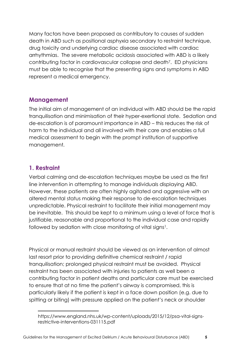Many factors have been proposed as contributory to causes of sudden death in ABD such as positional asphyxia secondary to restraint technique, drug toxicity and underlying cardiac disease associated with cardiac arrhythmias. The severe metabolic acidosis associated with ABD is a likely contributing factor in cardiovascular collapse and death7. ED physicians must be able to recognise that the presenting signs and symptoms in ABD represent a medical emergency.

#### **Management**

The initial aim of management of an individual with ABD should be the rapid tranquilisation and minimisation of their hyper-exertional state. Sedation and de-escalation is of paramount importance in ABD – this reduces the risk of harm to the individual and all involved with their care and enables a full medical assessment to begin with the prompt institution of supportive management.

## **1. Restraint**

 $\overline{a}$ 

Verbal calming and de-escalation techniques maybe be used as the first line intervention in attempting to manage individuals displaying ABD. However, these patients are often highly agitated and aggressive with an altered mental status making their response to de-escalation techniques unpredictable. Physical restraint to facilitate their initial management may be inevitable. This should be kept to a minimum using a level of force that is justifiable, reasonable and proportional to the individual case and rapidly followed by sedation with close monitoring of vital signs<sup>1</sup>.

Physical or manual restraint should be viewed as an intervention of almost last resort prior to providing definitive chemical restraint / rapid tranquilisation; prolonged physical restraint must be avoided. Physical restraint has been associated with injuries to patients as well been a contributing factor in patient deaths and particular care must be exercised to ensure that at no time the patient's airway is compromised, this is particularly likely if the patient is kept in a face down position (e.g. due to spitting or biting) with pressure applied on the patient's neck or shoulder

https://www.england.nhs.uk/wp-content/uploads/2015/12/psa-vital-signsrestrictive-interventions-031115.pdf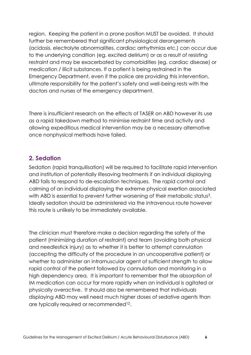region. Keeping the patient in a prone position MUST be avoided. It should further be remembered that significant physiological derangements (acidosis, electrolyte abnormalities, cardiac arrhythmias etc.) can occur due to the underlying condition (eg. excited delirium) or as a result of resisting restraint and may be exacerbated by comorbidities (eg. cardiac disease) or medication / illicit substances. If a patient is being restrained in the Emergency Department, even if the police are providing this intervention, ultimate responsibility for the patient's safety and well-being rests with the doctors and nurses of the emergency department.

There is insufficient research on the effects of TASER on ABD however its use as a rapid takedown method to minimise restraint time and activity and allowing expeditious medical intervention may be a necessary alternative once nonphysical methods have failed.

#### **2. Sedation**

Sedation (rapid tranquilisation) will be required to facilitate rapid intervention and institution of potentially lifesaving treatments if an individual displaying ABD fails to respond to de-escalation techniques. The rapid control and calming of an individual displaying the extreme physical exertion associated with ABD is essential to prevent further worsening of their metabolic status<sup>3</sup>. Ideally sedation should be administered via the intravenous route however this route is unlikely to be immediately available.

The clinician must therefore make a decision regarding the safety of the patient (minimizing duration of restraint) and team (avoiding both physical and needlestick injury) as to whether it is better to attempt cannulation (accepting the difficulty of the procedure in an uncooperative patient) or whether to administer an intramuscular agent of sufficient strength to allow rapid control of the patient followed by cannulation and monitoring in a high dependency area. It is important to remember that the absorption of IM medication can occur far more rapidly when an individual is agitated or physically overactive. It should also be remembered that individuals displaying ABD may well need much higher doses of sedative agents than are typically required or recommended12.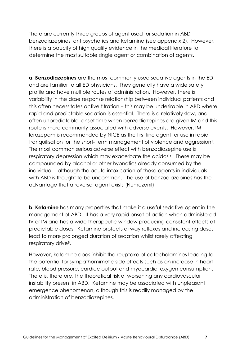There are currently three groups of agent used for sedation in ABD benzodiazepines, antipsychotics and ketamine (see appendix 2). However, there is a paucity of high quality evidence in the medical literature to determine the most suitable single agent or combination of agents.

**a. Benzodiazepines** are the most commonly used sedative agents in the ED and are familiar to all ED physicians. They generally have a wide safety profile and have multiple routes of administration. However, there is variability in the dose response relationship between individual patients and this often necessitates active titration – this may be undesirable in ABD where rapid and predictable sedation is essential. There is a relatively slow, and often unpredictable, onset time when benzodiazepines are given IM and this route is more commonly associated with adverse events. However, IM lorazepam is recommended by NICE as the first line agent for use in rapid tranquilisation for the short- term management of violence and aggression<sup>1</sup>. The most common serious adverse effect with benzodiazepine use is respiratory depression which may exacerbate the acidosis. These may be compounded by alcohol or other hypnotics already consumed by the individual – although the acute intoxication of these agents in individuals with ABD is thought to be uncommon. The use of benzodiazepines has the advantage that a reversal agent exists (Flumazenil).

**b. Ketamine** has many properties that make it a useful sedative agent in the management of ABD. It has a very rapid onset of action when administered IV or IM and has a wide therapeutic window producing consistent effects at predictable doses. Ketamine protects airway reflexes and increasing doses lead to more prolonged duration of sedation whilst rarely affecting respiratory drive<sup>9</sup>.

However, ketamine does inhibit the reuptake of catecholamines leading to the potential for sympathomimetic side effects such as an increase in heart rate, blood pressure, cardiac output and myocardial oxygen consumption. There is, therefore, the theoretical risk of worsening any cardiovascular instability present in ABD. Ketamine may be associated with unpleasant emergence phenomenon, although this is readily managed by the administration of benzodiazepines.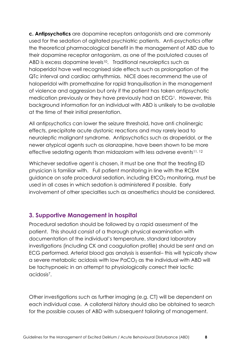**c. Antipsychotics** are dopamine receptors antagonists and are commonly used for the sedation of agitated psychiatric patients. Anti-psychotics offer the theoretical pharmacological benefit in the management of ABD due to their dopamine receptor antagonism, as one of the postulated causes of ABD is excess dopamine levels<sup>10</sup>. Traditional neuroleptics such as haloperidol have well recognised side effects such as prolongation of the QTc interval and cardiac arrhythmias. NICE does recommend the use of haloperidol with promethazine for rapid tranquilisation in the management of violence and aggression but only if the patient has taken antipsychotic medication previously or they have previously had an ECG<sup>1</sup>. However, this background information for an individual with ABD is unlikely to be available at the time of their initial presentation.

All antipsychotics can lower the seizure threshold, have anti cholinergic effects, precipitate acute dystonic reactions and may rarely lead to neuroleptic malignant syndrome. Antipsychotics such as droperidol, or the newer atypical agents such as olanzapine, have been shown to be more effective sedating agents than midazolam with less adverse events11, 12

Whichever sedative agent is chosen, it must be one that the treating ED physician is familiar with. Full patient monitoring in line with the RCEM guidance on safe procedural sedation, including EtCO<sup>2</sup> monitoring, must be used in all cases in which sedation is administered if possible. Early involvement of other specialties such as anaesthetics should be considered.

#### **3. Supportive Management in hospital**

Procedural sedation should be followed by a rapid assessment of the patient. This should consist of a thorough physical examination with documentation of the individual's temperature, standard laboratory investigations (including CK and coagulation profile) should be sent and an ECG performed. Arterial blood gas analysis is essential– this will typically show a severe metabolic acidosis with low  $PaCO<sub>2</sub>$  as the individual with ABD will be tachypnoeic in an attempt to physiologically correct their lactic acidosis7.

Other investigations such as further imaging (e.g. CT) will be dependent on each individual case. A collateral history should also be obtained to search for the possible causes of ABD with subsequent tailoring of management.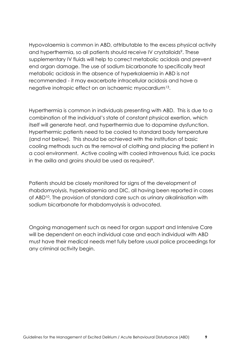Hypovolaemia is common in ABD, attributable to the excess physical activity and hyperthermia, so all patients should receive IV crystalloids<sup>9</sup>. These supplementary IV fluids will help to correct metabolic acidosis and prevent end organ damage. The use of sodium bicarbonate to specifically treat metabolic acidosis in the absence of hyperkalaemia in ABD is not recommended - it may exacerbate intracellular acidosis and have a negative inotropic effect on an ischaemic myocardium13.

Hyperthermia is common in individuals presenting with ABD. This is due to a combination of the individual's state of constant physical exertion, which itself will generate heat, and hyperthermia due to dopamine dysfunction. Hyperthermic patients need to be cooled to standard body temperature (and not below). This should be achieved with the institution of basic cooling methods such as the removal of clothing and placing the patient in a cool environment. Active cooling with cooled intravenous fluid, ice packs in the axilla and groins should be used as required<sup>9</sup>.

Patients should be closely monitored for signs of the development of rhabdomyolysis, hyperkalaemia and DIC, all having been reported in cases of ABD10. The provision of standard care such as urinary alkalinisation with sodium bicarbonate for rhabdomyolysis is advocated.

Ongoing management such as need for organ support and Intensive Care will be dependent on each individual case and each individual with ABD must have their medical needs met fully before usual police proceedings for any criminal activity begin.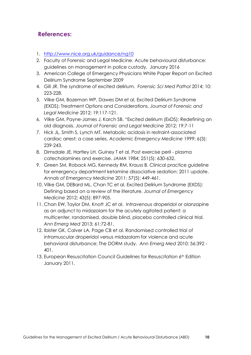### **References:**

- 1. <http://www.nice.org.uk/guidance/ng10>
- 2. Faculty of Forensic and Legal Medicine. Acute behavioural disturbance: guidelines on management in police custody. January 2016
- 3. American College of Emergency Physicians White Paper Report on Excited Delirium Syndrome September 2009
- 4. Gill JR. The syndrome of excited delirium. *Forensic Sci Med Pathol* 2014; 10: 223-228.
- 5. Vilke GM, Bozeman WP, Dawes DM et al. Excited Delirium Syndrome (EXDS); Treatment Options and Considerations. *Journal of Forensic and Legal Medicine* 2012; 19:117-121.
- 6. Vilke GM, Payne-James J, Karch SB. "Excited delirium (ExDS): Redefining an old diagnosis. *Journal of Forensic and Legal Medicine* 2012; 19:7-11
- 7. Hick JL, Smith S, Lynch MT. Metabolic acidosis in restraint-associated cardiac arrest: a case series. *Academic Emergency Medicine* 1999; 6(3): 239-243.
- 8. Dimsdale JE, Hartley LH, Guiney T et al. Post exercise peril plasma catecholamines and exercise. *JAMA* 1984; 251(5): 630-632.
- 9. Green SM, Roback MG, Kennedy RM, Krauss B. Clinical practice guideline for emergency department ketamine dissociative sedation: 2011 update. *Annals of Emergency Medicine* 2011; 57(5): 449-461.
- 10. Vilke GM, DEBard ML, Chan TC et al. Excited Delirium Syndrome (EXDS): Defining based on a review of the literature. *Journal of Emergency Medicine* 2012; 43(5): 897-905.
- 11. Chan EW, Taylor DM, Knott JC et al. Intravenous droperidol or olanzapine as an adjunct to midazolam for the acutely agitated patient: a multicenter, randomised, double blind, placebo controlled clinical trial. *Ann Emerg Med* 2013; 61:72-81.
- 12. Ibister GK, Calver LA, Page CB et al. Randomised controlled trial of intramuscular droperidol versus midazolam for violence and acute behavioral disturbance: The DORM study. *Ann Emerg Med* 2010; 56:392 - 401.
- 13. European Resuscitation Council Guidelines for Resuscitation 6<sup>th</sup> Edition January 2011.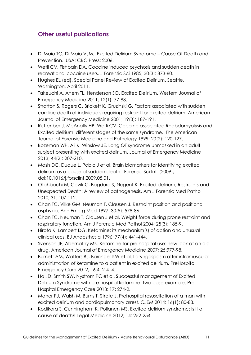## **Other useful publications**

- Di Maio TG, Di Maio VJM. Excited Delirium Syndrome Cause Of Death and Prevention. USA: CRC Press; 2006.
- Wetli CV, Fishbain DA. Cocaine induced psychosis and sudden death in recreational cocaine users. J Forensic Sci 1985; 30(3): 873-80.
- Hughes EL (ed). Special Panel Review of Excited Delirium. Seattle, Washington. April 2011.
- Takeuchi A, Ahern TL, Henderson SO. Excited Delirium. Western Journal of Emergency Medicine 2011; 12(1): 77-83.
- Stratton S, Rogers C, Brickett K, Gruzinski G. Factors associated with sudden cardiac death of individuals requiring restraint for excited delirium. American Journal of Emergency Medicine 2001; 19(3): 187-191.
- Ruttenber J, McAnally HB, Wetli CV. Cocaine associated Rhabdomyolysis and Excited delirium: different stages of the same syndrome. The American Journal of Forensic Medicine and Pathology 1999; 20(2): 120-127.
- Bozeman WP, Ali K, Winslow JE. Long QT syndrome unmasked in an adult subject presenting with excited delirium. Journal of Emergency Medicine 2013; 44(2): 207-210.
- Mash DC, Duque L, Pablo J et al. Brain biomarkers for identifying excited delirium as a cause of sudden death. Forensic Sci Int (2009), doi:10.1016/j.forsciint.2009.05.01.
- Otahbachi M, Cevik C, Bagdure S, Nugent K. Excited delirium, Restraints and Unexpected Death: A review of pathogenesis. Am J Forensic Med Pathol 2010; 31: 107-112.
- Chan TC, Vilke GM, Neuman T, Clausen J. Restraint position and positional asphyxia. Ann Emerg Med 1997; 30(5): 578-86.
- Chan TC, Neuman T, Clausen J et al. Weight force during prone restraint and respiratory function. Am J Forensic Med Pathol 2004; 25(3): 185-9.
- Hirota K, Lambert DG. Ketamine: its mechanism(s) of action and unusual clinical uses. BJ Anaesthesia 1996; 77(4): 441-444.
- Svenson JE, Abernathy MK. Ketamine for pre hospital use: new look at an old drug. American Journal of Emergency Medicine 2007; 25:977-98.
- Burnett AM, Watters BJ, Barringer KW et al. Laryngospasm after intramuscular administration of ketamine to a patient in excited delirium. PreHospital Emergency Care 2012; 16:412-414.
- Ho JD, Smith SW, Nystrom PC et al. Successful management of Excited Delirium Syndrome with pre hospital ketamine: two case example. Pre Hospital Emergency Care 2013; 17: 274-2.
- Maher PJ, Walsh M, Burns T, Strote J. Prehospital resuscitation of a man with excited delirium and cardiopulmonary arrest. CJEM 2014; 16(1): 80-83.
- Kodikara S, Cunningham K, Pollanen MS. Excited delirium syndrome: Is it a cause of death? Legal Medicine 2012; 14: 252-254.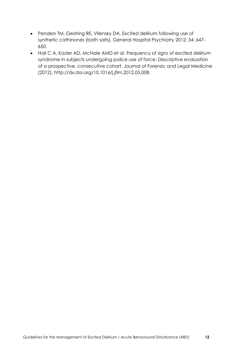- Penders TM, Gestring RE, Vilensky DA. Excited delirium following use of synthetic cathinones (bath salts). General Hospital Psychiatry 2012; 34: 647- 650.
- Hall C A, Kader AD, McHale AMD et al. Frequency of signs of excited delirium syndrome in subjects undergoing police use of force: Descriptive evaluation of a prospective, consecutive cohort. Journal of Forensic and Legal Medicine (2012), http://dx.doi.org/10.1016/j.jflm.2012.05.008.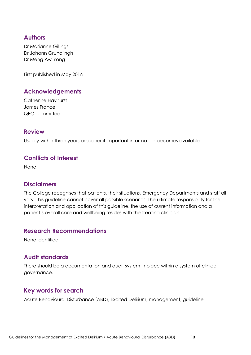#### **Authors**

Dr Marianne Gillings Dr Johann Grundlingh Dr Meng Aw-Yong

First published in May 2016

#### **Acknowledgements**

Catherine Hayhurst James France QEC committee

#### **Review**

Usually within three years or sooner if important information becomes available.

#### **Conflicts of Interest**

None

#### **Disclaimers**

The College recognises that patients, their situations, Emergency Departments and staff all vary. This guideline cannot cover all possible scenarios. The ultimate responsibility for the interpretation and application of this guideline, the use of current information and a patient's overall care and wellbeing resides with the treating clinician.

#### **Research Recommendations**

None identified

#### **Audit standards**

There should be a documentation and audit system in place within a system of clinical governance.

#### **Key words for search**

Acute Behavioural Disturbance (ABD), Excited Delirium, management, guideline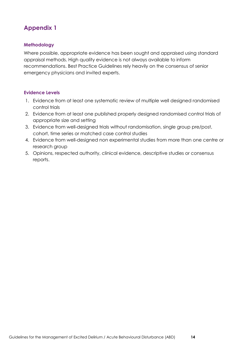## **Appendix 1**

#### **Methodology**

Where possible, appropriate evidence has been sought and appraised using standard appraisal methods. High quality evidence is not always available to inform recommendations. Best Practice Guidelines rely heavily on the consensus of senior emergency physicians and invited experts.

#### **Evidence Levels**

- 1. Evidence from at least one systematic review of multiple well designed randomised control trials
- 2. Evidence from at least one published properly designed randomised control trials of appropriate size and setting
- 3. Evidence from well-designed trials without randomisation, single group pre/post, cohort, time series or matched case control studies
- 4. Evidence from well-designed non experimental studies from more than one centre or research group
- 5. Opinions, respected authority, clinical evidence, descriptive studies or consensus reports.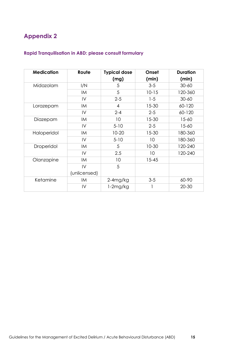## **Appendix 2**

#### **Rapid Tranquilisation in ABD: please consult formulary**

| <b>Medication</b> | Route         | <b>Typical dose</b> | Onset     | <b>Duration</b> |
|-------------------|---------------|---------------------|-----------|-----------------|
|                   |               | (mg)                | (min)     | (min)           |
| Midazolam         | I/N           | 5                   | $3-5$     | $30 - 60$       |
|                   | IM            | 5                   | $10 - 15$ | 120-360         |
|                   | IV            | $2 - 5$             | $1 - 5$   | $30 - 60$       |
| Lorazepam         | IM            | 4                   | $15 - 30$ | 60-120          |
|                   | IV            | $2 - 4$             | $2 - 5$   | 60-120          |
| Diazepam          | IM            | 10                  | $15 - 30$ | $15 - 60$       |
|                   | $\mathsf{IV}$ | $5 - 10$            | $2 - 5$   | $15 - 60$       |
| Haloperidol       | IM            | $10 - 20$           | $15 - 30$ | 180-360         |
|                   | IV            | $5 - 10$            | 10        | 180-360         |
| Droperidol        | IM            | 5                   | $10 - 30$ | 120-240         |
|                   | IV            | 2.5                 | 10        | 120-240         |
| Olanzapine        | <b>IM</b>     | 10                  | $15 - 45$ |                 |
|                   | IV            | 5                   |           |                 |
|                   | (unlicensed)  |                     |           |                 |
| Ketamine          | <b>IM</b>     | $2-4$ mg/kg         | $3-5$     | 60-90           |
|                   | $\mathsf{IV}$ | 1-2mg/kg            |           | $20 - 30$       |